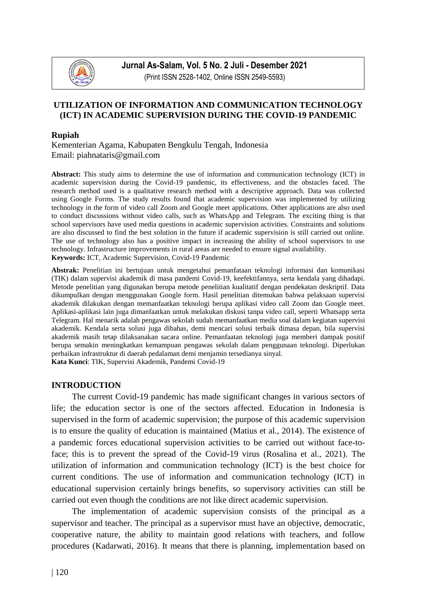

**Jurnal As-Salam, Vol. 5 No. 2 Juli - Desember 2021** (Print ISSN 2528-1402, Online ISSN 2549-5593)

## **UTILIZATION OF INFORMATION AND COMMUNICATION TECHNOLOGY (ICT) IN ACADEMIC SUPERVISION DURING THE COVID-19 PANDEMIC**

#### **Rupiah**

Kementerian Agama, Kabupaten Bengkulu Tengah, Indonesia Email: [piahnataris@gmail.com](mailto:muhammad.hasyimsyahbatubara@gmail.com1,3)

**Abstract:** This study aims to determine the use of information and communication technology (ICT) in academic supervision during the Covid-19 pandemic, its effectiveness, and the obstacles faced. The research method used is a qualitative research method with a descriptive approach. Data was collected using Google Forms. The study results found that academic supervision was implemented by utilizing technology in the form of video call Zoom and Google meet applications. Other applications are also used to conduct discussions without video calls, such as WhatsApp and Telegram. The exciting thing is that school supervisors have used media questions in academic supervision activities. Constraints and solutions are also discussed to find the best solution in the future if academic supervision is still carried out online. The use of technology also has a positive impact in increasing the ability of school supervisors to use technology. Infrastructure improvements in rural areas are needed to ensure signal availability. **Keywords:** ICT, Academic Supervision, Covid-19 Pandemic

**Abstrak:** Penelitian ini bertujuan untuk mengetahui pemanfataan teknologi informasi dan komunikasi (TIK) dalam supervisi akademik di masa pandemi Covid-19, keefektifannya, serta kendala yang dihadapi. Metode penelitian yang digunakan berupa metode penelitian kualitatif dengan pendekatan deskriptif. Data dikumpulkan dengan menggunakan Google form. Hasil penelitian ditemukan bahwa pelaksaan supervisi akademik dilakukan dengan memanfaatkan teknologi berupa aplikasi video call Zoom dan Google meet. Aplikasi-aplikasi lain juga dimanfaatkan untuk melakukan diskusi tanpa video call, seperti Whatsapp serta Telegram. Hal menarik adalah pengawas sekolah sudah memanfaatkan media soal dalam kegiatan supervisi akademik. Kendala serta solusi juga dibahas, demi mencari solusi terbaik dimasa depan, bila supervisi akademik masih tetap dilaksanakan sacara online. Pemanfaatan teknologi juga memberi dampak positif berupa semakin meningkatkan kemampuan pengawas sekolah dalam penggunaan teknologi. Diperlukan perbaikan infrastruktur di daerah pedalaman demi menjamin tersedianya sinyal. **Kata Kunci**: TIK, Supervisi Akademik, Pandemi Covid-19

#### **INTRODUCTION**

The current Covid-19 pandemic has made significant changes in various sectors of life; the education sector is one of the sectors affected. Education in Indonesia is supervised in the form of academic supervision; the purpose of this academic supervision is to ensure the quality of education is maintained (Matius et al., 2014). The existence of a pandemic forces educational supervision activities to be carried out without face-toface; this is to prevent the spread of the Covid-19 virus (Rosalina et al., 2021). The utilization of information and communication technology (ICT) is the best choice for current conditions. The use of information and communication technology (ICT) in educational supervision certainly brings benefits, so supervisory activities can still be carried out even though the conditions are not like direct academic supervision.

The implementation of academic supervision consists of the principal as a supervisor and teacher. The principal as a supervisor must have an objective, democratic, cooperative nature, the ability to maintain good relations with teachers, and follow procedures (Kadarwati, 2016). It means that there is planning, implementation based on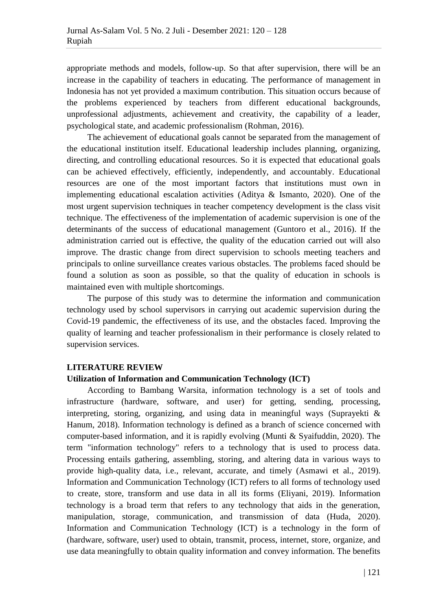appropriate methods and models, follow-up. So that after supervision, there will be an increase in the capability of teachers in educating. The performance of management in Indonesia has not yet provided a maximum contribution. This situation occurs because of the problems experienced by teachers from different educational backgrounds, unprofessional adjustments, achievement and creativity, the capability of a leader, psychological state, and academic professionalism (Rohman, 2016).

The achievement of educational goals cannot be separated from the management of the educational institution itself. Educational leadership includes planning, organizing, directing, and controlling educational resources. So it is expected that educational goals can be achieved effectively, efficiently, independently, and accountably. Educational resources are one of the most important factors that institutions must own in implementing educational escalation activities (Aditya & Ismanto, 2020). One of the most urgent supervision techniques in teacher competency development is the class visit technique. The effectiveness of the implementation of academic supervision is one of the determinants of the success of educational management (Guntoro et al., 2016). If the administration carried out is effective, the quality of the education carried out will also improve. The drastic change from direct supervision to schools meeting teachers and principals to online surveillance creates various obstacles. The problems faced should be found a solution as soon as possible, so that the quality of education in schools is maintained even with multiple shortcomings.

The purpose of this study was to determine the information and communication technology used by school supervisors in carrying out academic supervision during the Covid-19 pandemic, the effectiveness of its use, and the obstacles faced. Improving the quality of learning and teacher professionalism in their performance is closely related to supervision services.

# **LITERATURE REVIEW**

#### **Utilization of Information and Communication Technology (ICT)**

According to Bambang Warsita, information technology is a set of tools and infrastructure (hardware, software, and user) for getting, sending, processing, interpreting, storing, organizing, and using data in meaningful ways (Suprayekti & Hanum, 2018). Information technology is defined as a branch of science concerned with computer-based information, and it is rapidly evolving (Munti & Syaifuddin, 2020). The term "information technology" refers to a technology that is used to process data. Processing entails gathering, assembling, storing, and altering data in various ways to provide high-quality data, i.e., relevant, accurate, and timely (Asmawi et al., 2019). Information and Communication Technology (ICT) refers to all forms of technology used to create, store, transform and use data in all its forms (Eliyani, 2019). Information technology is a broad term that refers to any technology that aids in the generation, manipulation, storage, communication, and transmission of data (Huda, 2020). Information and Communication Technology (ICT) is a technology in the form of (hardware, software, user) used to obtain, transmit, process, internet, store, organize, and use data meaningfully to obtain quality information and convey information. The benefits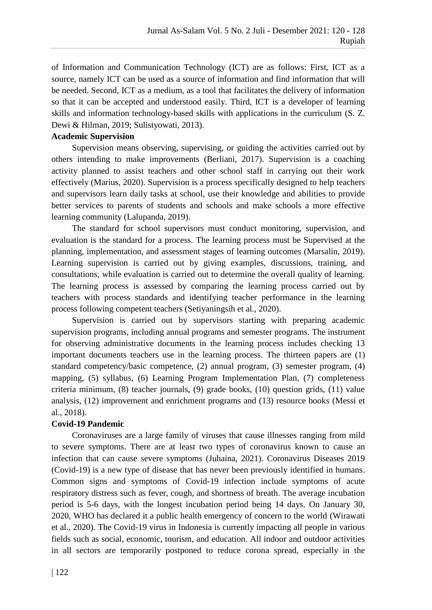of Information and Communication Technology (ICT) are as follows: First, ICT as a source, namely ICT can be used as a source of information and find information that will be needed. Second, ICT as a medium, as a tool that facilitates the delivery of information so that it can be accepted and understood easily. Third, ICT is a developer of learning skills and information technology-based skills with applications in the curriculum (S. Z. Dewi & Hilman, 2019; Sulistyowati, 2013).

## **Academic Supervision**

Supervision means observing, supervising, or guiding the activities carried out by others intending to make improvements (Berliani, 2017). Supervision is a coaching activity planned to assist teachers and other school staff in carrying out their work effectively (Marius, 2020). Supervision is a process specifically designed to help teachers and supervisors learn daily tasks at school, use their knowledge and abilities to provide better services to parents of students and schools and make schools a more effective learning community (Lalupanda, 2019).

The standard for school supervisors must conduct monitoring, supervision, and evaluation is the standard for a process. The learning process must be Supervised at the planning, implementation, and assessment stages of learning outcomes (Marsalin, 2019). Learning supervision is carried out by giving examples, discussions, training, and consultations, while evaluation is carried out to determine the overall quality of learning. The learning process is assessed by comparing the learning process carried out by teachers with process standards and identifying teacher performance in the learning process following competent teachers (Setiyaningsih et al., 2020).

Supervision is carried out by supervisors starting with preparing academic supervision programs, including annual programs and semester programs. The instrument for observing administrative documents in the learning process includes checking 13 important documents teachers use in the learning process. The thirteen papers are (1) standard competency/basic competence, (2) annual program, (3) semester program, (4) mapping, (5) syllabus, (6) Learning Program Implementation Plan, (7) completeness criteria minimum, (8) teacher journals, (9) grade books, (10) question grids, (11) value analysis, (12) improvement and enrichment programs and (13) resource books (Messi et al., 2018).

#### **Covid-19 Pandemic**

Coronaviruses are a large family of viruses that cause illnesses ranging from mild to severe symptoms. There are at least two types of coronavirus known to cause an infection that can cause severe symptoms (Juhaina, 2021). Coronavirus Diseases 2019 (Covid-19) is a new type of disease that has never been previously identified in humans. Common signs and symptoms of Covid-19 infection include symptoms of acute respiratory distress such as fever, cough, and shortness of breath. The average incubation period is 5-6 days, with the longest incubation period being 14 days. On January 30, 2020, WHO has declared it a public health emergency of concern to the world (Wirawati et al., 2020). The Covid-19 virus in Indonesia is currently impacting all people in various fields such as social, economic, tourism, and education. All indoor and outdoor activities in all sectors are temporarily postponed to reduce corona spread, especially in the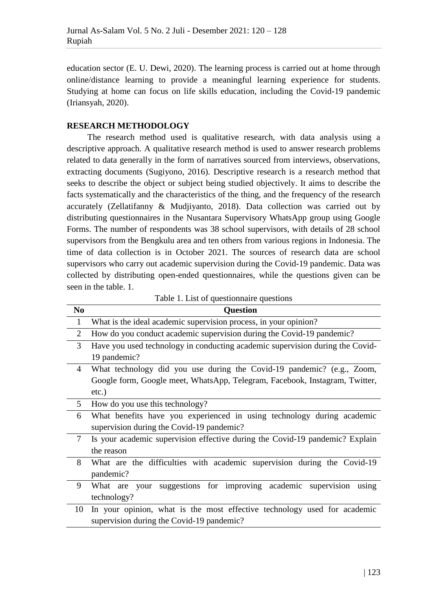education sector (E. U. Dewi, 2020). The learning process is carried out at home through online/distance learning to provide a meaningful learning experience for students. Studying at home can focus on life skills education, including the Covid-19 pandemic (Iriansyah, 2020).

## **RESEARCH METHODOLOGY**

The research method used is qualitative research, with data analysis using a descriptive approach. A qualitative research method is used to answer research problems related to data generally in the form of narratives sourced from interviews, observations, extracting documents (Sugiyono, 2016). Descriptive research is a research method that seeks to describe the object or subject being studied objectively. It aims to describe the facts systematically and the characteristics of the thing, and the frequency of the research accurately (Zellatifanny & Mudjiyanto, 2018). Data collection was carried out by distributing questionnaires in the Nusantara Supervisory WhatsApp group using Google Forms. The number of respondents was 38 school supervisors, with details of 28 school supervisors from the Bengkulu area and ten others from various regions in Indonesia. The time of data collection is in October 2021. The sources of research data are school supervisors who carry out academic supervision during the Covid-19 pandemic. Data was collected by distributing open-ended questionnaires, while the questions given can be seen in the table. 1.

| N <sub>0</sub> | <b>Question</b>                                                               |
|----------------|-------------------------------------------------------------------------------|
| $\mathbf{1}$   | What is the ideal academic supervision process, in your opinion?              |
| 2              | How do you conduct academic supervision during the Covid-19 pandemic?         |
| 3              | Have you used technology in conducting academic supervision during the Covid- |
|                | 19 pandemic?                                                                  |
| 4              | What technology did you use during the Covid-19 pandemic? (e.g., Zoom,        |
|                | Google form, Google meet, WhatsApp, Telegram, Facebook, Instagram, Twitter,   |
|                | $etc.$ )                                                                      |
| 5              | How do you use this technology?                                               |
| 6              | What benefits have you experienced in using technology during academic        |
|                | supervision during the Covid-19 pandemic?                                     |
| 7              | Is your academic supervision effective during the Covid-19 pandemic? Explain  |
|                | the reason                                                                    |
| 8              | What are the difficulties with academic supervision during the Covid-19       |
|                | pandemic?                                                                     |
| 9              | What are your suggestions for improving academic supervision<br>using         |
|                | technology?                                                                   |
| 10             | In your opinion, what is the most effective technology used for academic      |
|                | supervision during the Covid-19 pandemic?                                     |

Table 1. List of questionnaire questions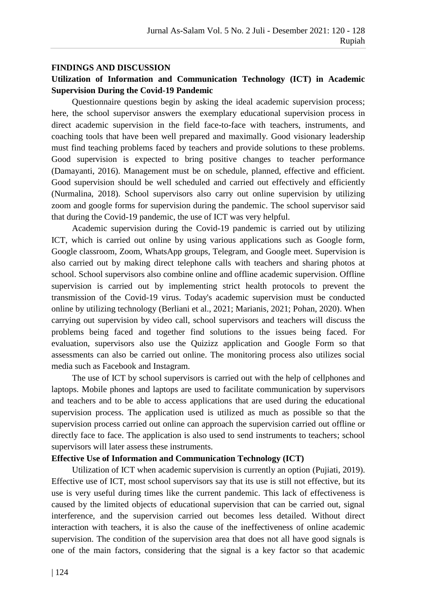## **FINDINGS AND DISCUSSION**

# **Utilization of Information and Communication Technology (ICT) in Academic Supervision During the Covid-19 Pandemic**

Questionnaire questions begin by asking the ideal academic supervision process; here, the school supervisor answers the exemplary educational supervision process in direct academic supervision in the field face-to-face with teachers, instruments, and coaching tools that have been well prepared and maximally. Good visionary leadership must find teaching problems faced by teachers and provide solutions to these problems. Good supervision is expected to bring positive changes to teacher performance (Damayanti, 2016). Management must be on schedule, planned, effective and efficient. Good supervision should be well scheduled and carried out effectively and efficiently (Nurmalina, 2018). School supervisors also carry out online supervision by utilizing zoom and google forms for supervision during the pandemic. The school supervisor said that during the Covid-19 pandemic, the use of ICT was very helpful.

Academic supervision during the Covid-19 pandemic is carried out by utilizing ICT, which is carried out online by using various applications such as Google form, Google classroom, Zoom, WhatsApp groups, Telegram, and Google meet. Supervision is also carried out by making direct telephone calls with teachers and sharing photos at school. School supervisors also combine online and offline academic supervision. Offline supervision is carried out by implementing strict health protocols to prevent the transmission of the Covid-19 virus. Today's academic supervision must be conducted online by utilizing technology (Berliani et al., 2021; Marianis, 2021; Pohan, 2020). When carrying out supervision by video call, school supervisors and teachers will discuss the problems being faced and together find solutions to the issues being faced. For evaluation, supervisors also use the Quizizz application and Google Form so that assessments can also be carried out online. The monitoring process also utilizes social media such as Facebook and Instagram.

The use of ICT by school supervisors is carried out with the help of cellphones and laptops. Mobile phones and laptops are used to facilitate communication by supervisors and teachers and to be able to access applications that are used during the educational supervision process. The application used is utilized as much as possible so that the supervision process carried out online can approach the supervision carried out offline or directly face to face. The application is also used to send instruments to teachers; school supervisors will later assess these instruments.

#### **Effective Use of Information and Communication Technology (ICT)**

Utilization of ICT when academic supervision is currently an option (Pujiati, 2019). Effective use of ICT, most school supervisors say that its use is still not effective, but its use is very useful during times like the current pandemic. This lack of effectiveness is caused by the limited objects of educational supervision that can be carried out, signal interference, and the supervision carried out becomes less detailed. Without direct interaction with teachers, it is also the cause of the ineffectiveness of online academic supervision. The condition of the supervision area that does not all have good signals is one of the main factors, considering that the signal is a key factor so that academic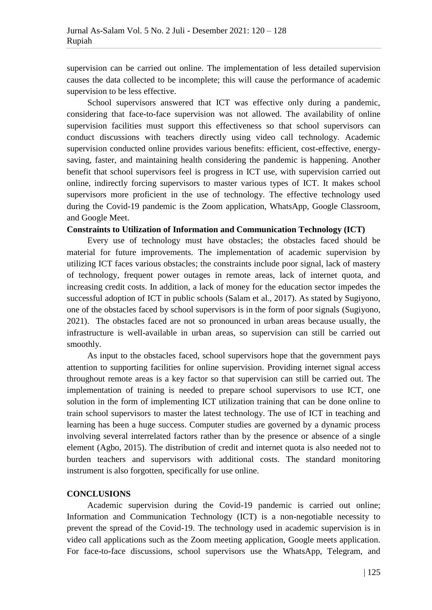supervision can be carried out online. The implementation of less detailed supervision causes the data collected to be incomplete; this will cause the performance of academic supervision to be less effective.

School supervisors answered that ICT was effective only during a pandemic, considering that face-to-face supervision was not allowed. The availability of online supervision facilities must support this effectiveness so that school supervisors can conduct discussions with teachers directly using video call technology. Academic supervision conducted online provides various benefits: efficient, cost-effective, energysaving, faster, and maintaining health considering the pandemic is happening. Another benefit that school supervisors feel is progress in ICT use, with supervision carried out online, indirectly forcing supervisors to master various types of ICT. It makes school supervisors more proficient in the use of technology. The effective technology used during the Covid-19 pandemic is the Zoom application, WhatsApp, Google Classroom, and Google Meet.

#### **Constraints to Utilization of Information and Communication Technology (ICT)**

Every use of technology must have obstacles; the obstacles faced should be material for future improvements. The implementation of academic supervision by utilizing ICT faces various obstacles; the constraints include poor signal, lack of mastery of technology, frequent power outages in remote areas, lack of internet quota, and increasing credit costs. In addition, a lack of money for the education sector impedes the successful adoption of ICT in public schools (Salam et al., 2017). As stated by Sugiyono, one of the obstacles faced by school supervisors is in the form of poor signals (Sugiyono, 2021). The obstacles faced are not so pronounced in urban areas because usually, the infrastructure is well-available in urban areas, so supervision can still be carried out smoothly.

As input to the obstacles faced, school supervisors hope that the government pays attention to supporting facilities for online supervision. Providing internet signal access throughout remote areas is a key factor so that supervision can still be carried out. The implementation of training is needed to prepare school supervisors to use ICT, one solution in the form of implementing ICT utilization training that can be done online to train school supervisors to master the latest technology. The use of ICT in teaching and learning has been a huge success. Computer studies are governed by a dynamic process involving several interrelated factors rather than by the presence or absence of a single element (Agbo, 2015). The distribution of credit and internet quota is also needed not to burden teachers and supervisors with additional costs. The standard monitoring instrument is also forgotten, specifically for use online.

#### **CONCLUSIONS**

Academic supervision during the Covid-19 pandemic is carried out online; Information and Communication Technology (ICT) is a non-negotiable necessity to prevent the spread of the Covid-19. The technology used in academic supervision is in video call applications such as the Zoom meeting application, Google meets application. For face-to-face discussions, school supervisors use the WhatsApp, Telegram, and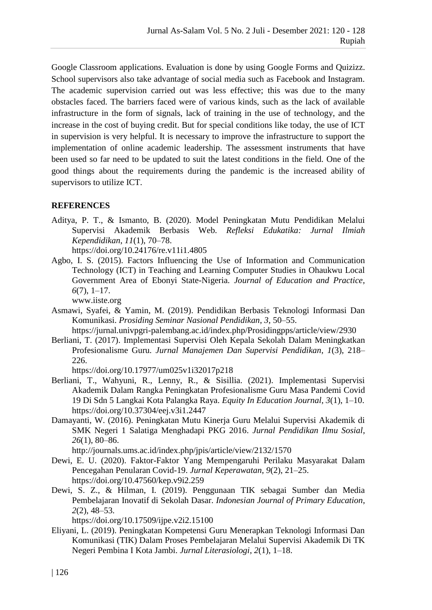Google Classroom applications. Evaluation is done by using Google Forms and Quizizz. School supervisors also take advantage of social media such as Facebook and Instagram. The academic supervision carried out was less effective; this was due to the many obstacles faced. The barriers faced were of various kinds, such as the lack of available infrastructure in the form of signals, lack of training in the use of technology, and the increase in the cost of buying credit. But for special conditions like today, the use of ICT in supervision is very helpful. It is necessary to improve the infrastructure to support the implementation of online academic leadership. The assessment instruments that have been used so far need to be updated to suit the latest conditions in the field. One of the good things about the requirements during the pandemic is the increased ability of supervisors to utilize ICT.

# **REFERENCES**

Aditya, P. T., & Ismanto, B. (2020). Model Peningkatan Mutu Pendidikan Melalui Supervisi Akademik Berbasis Web. *Refleksi Edukatika: Jurnal Ilmiah Kependidikan*, *11*(1), 70–78.

https://doi.org/10.24176/re.v11i1.4805

Agbo, I. S. (2015). Factors Influencing the Use of Information and Communication Technology (ICT) in Teaching and Learning Computer Studies in Ohaukwu Local Government Area of Ebonyi State-Nigeria. *Journal of Education and Practice*, *6*(7), 1–17.

www.iiste.org

- Asmawi, Syafei, & Yamin, M. (2019). Pendidikan Berbasis Teknologi Informasi Dan Komunikasi. *Prosiding Seminar Nasional Pendidikan*, *3*, 50–55. https://jurnal.univpgri-palembang.ac.id/index.php/Prosidingpps/article/view/2930
- Berliani, T. (2017). Implementasi Supervisi Oleh Kepala Sekolah Dalam Meningkatkan Profesionalisme Guru. *Jurnal Manajemen Dan Supervisi Pendidikan*, *1*(3), 218– 226.

https://doi.org/10.17977/um025v1i32017p218

- Berliani, T., Wahyuni, R., Lenny, R., & Sisillia. (2021). Implementasi Supervisi Akademik Dalam Rangka Peningkatan Profesionalisme Guru Masa Pandemi Covid 19 Di Sdn 5 Langkai Kota Palangka Raya. *Equity In Education Journal*, *3*(1), 1–10. https://doi.org/10.37304/eej.v3i1.2447
- Damayanti, W. (2016). Peningkatan Mutu Kinerja Guru Melalui Supervisi Akademik di SMK Negeri 1 Salatiga Menghadapi PKG 2016. *Jurnal Pendidikan Ilmu Sosial*, *26*(1), 80–86.

http://journals.ums.ac.id/index.php/jpis/article/view/2132/1570

- Dewi, E. U. (2020). Faktor-Faktor Yang Mempengaruhi Perilaku Masyarakat Dalam Pencegahan Penularan Covid-19. *Jurnal Keperawatan*, *9*(2), 21–25. https://doi.org/10.47560/kep.v9i2.259
- Dewi, S. Z., & Hilman, I. (2019). Penggunaan TIK sebagai Sumber dan Media Pembelajaran Inovatif di Sekolah Dasar. *Indonesian Journal of Primary Education*, *2*(2), 48–53.

https://doi.org/10.17509/ijpe.v2i2.15100

Eliyani, L. (2019). Peningkatan Kompetensi Guru Menerapkan Teknologi Informasi Dan Komunikasi (TIK) Dalam Proses Pembelajaran Melalui Supervisi Akademik Di TK Negeri Pembina I Kota Jambi. *Jurnal Literasiologi*, *2*(1), 1–18.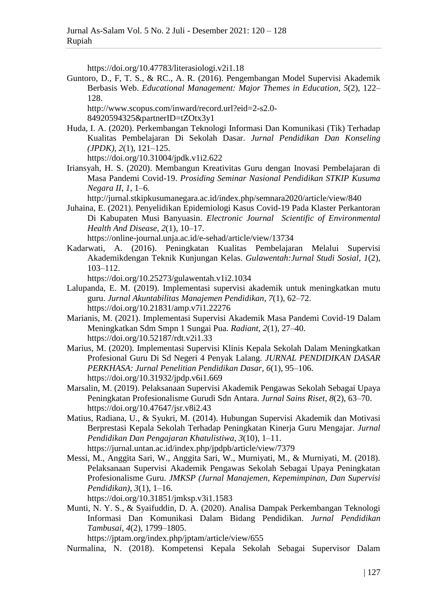https://doi.org/10.47783/literasiologi.v2i1.18

Guntoro, D., F, T. S., & RC., A. R. (2016). Pengembangan Model Supervisi Akademik Berbasis Web. *Educational Management: Major Themes in Education*, *5*(2), 122– 128.

http://www.scopus.com/inward/record.url?eid=2-s2.0- 84920594325&partnerID=tZOtx3y1

Huda, I. A. (2020). Perkembangan Teknologi Informasi Dan Komunikasi (Tik) Terhadap Kualitas Pembelajaran Di Sekolah Dasar. *Jurnal Pendidikan Dan Konseling (JPDK)*, *2*(1), 121–125.

https://doi.org/10.31004/jpdk.v1i2.622

Iriansyah, H. S. (2020). Membangun Kreativitas Guru dengan Inovasi Pembelajaran di Masa Pandemi Covid-19. *Prosiding Seminar Nasional Pendidikan STKIP Kusuma Negara II*, *1*, 1–6.

http://jurnal.stkipkusumanegara.ac.id/index.php/semnara2020/article/view/840

Juhaina, E. (2021). Penyelidikan Epidemiologi Kasus Covid-19 Pada Klaster Perkantoran Di Kabupaten Musi Banyuasin. *Electronic Journal Scientific of Environmental Health And Disease*, *2*(1), 10–17.

https://online-journal.unja.ac.id/e-sehad/article/view/13734

Kadarwati, A. (2016). Peningkatan Kualitas Pembelajaran Melalui Supervisi Akademikdengan Teknik Kunjungan Kelas. *Gulawentah:Jurnal Studi Sosial*, *1*(2), 103–112.

https://doi.org/10.25273/gulawentah.v1i2.1034

- Lalupanda, E. M. (2019). Implementasi supervisi akademik untuk meningkatkan mutu guru. *Jurnal Akuntabilitas Manajemen Pendidikan*, *7*(1), 62–72. https://doi.org/10.21831/amp.v7i1.22276
- Marianis, M. (2021). Implementasi Supervisi Akademik Masa Pandemi Covid-19 Dalam Meningkatkan Sdm Smpn 1 Sungai Pua. *Radiant*, *2*(1), 27–40. https://doi.org/10.52187/rdt.v2i1.33
- Marius, M. (2020). Implementasi Supervisi Klinis Kepala Sekolah Dalam Meningkatkan Profesional Guru Di Sd Negeri 4 Penyak Lalang. *JURNAL PENDIDIKAN DASAR PERKHASA: Jurnal Penelitian Pendidikan Dasar*, *6*(1), 95–106. https://doi.org/10.31932/jpdp.v6i1.669
- Marsalin, M. (2019). Pelaksanaan Supervisi Akademik Pengawas Sekolah Sebagai Upaya Peningkatan Profesionalisme Gurudi Sdn Antara. *Jurnal Sains Riset*, *8*(2), 63–70. https://doi.org/10.47647/jsr.v8i2.43
- Matius, Radiana, U., & Syukri, M. (2014). Hubungan Supervisi Akademik dan Motivasi Berprestasi Kepala Sekolah Terhadap Peningkatan Kinerja Guru Mengajar. *Jurnal Pendidikan Dan Pengajaran Khatulistiwa*, *3*(10), 1–11. https://jurnal.untan.ac.id/index.php/jpdpb/article/view/7379
- Messi, M., Anggita Sari, W., Anggita Sari, W., Murniyati, M., & Murniyati, M. (2018). Pelaksanaan Supervisi Akademik Pengawas Sekolah Sebagai Upaya Peningkatan Profesionalisme Guru. *JMKSP (Jurnal Manajemen, Kepemimpinan, Dan Supervisi Pendidikan)*, *3*(1), 1–16.

https://doi.org/10.31851/jmksp.v3i1.1583

Munti, N. Y. S., & Syaifuddin, D. A. (2020). Analisa Dampak Perkembangan Teknologi Informasi Dan Komunikasi Dalam Bidang Pendidikan. *Jurnal Pendidikan Tambusai*, *4*(2), 1799–1805.

https://jptam.org/index.php/jptam/article/view/655

Nurmalina, N. (2018). Kompetensi Kepala Sekolah Sebagai Supervisor Dalam